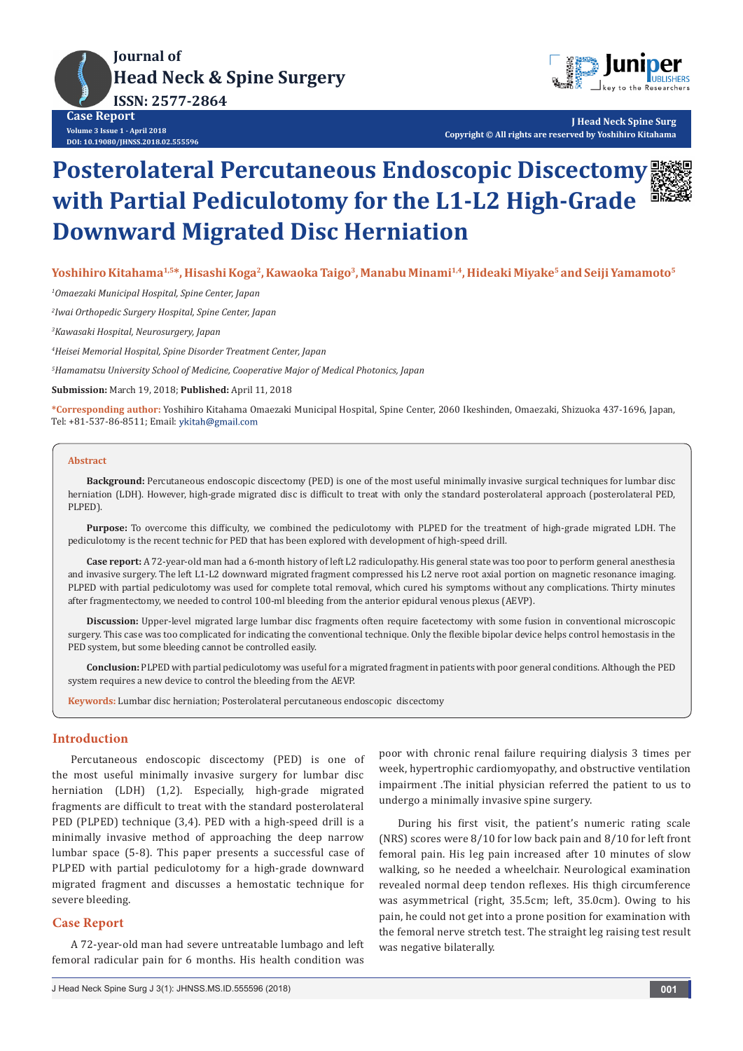



**J Head Neck Spine Surg Copyright © All rights are reserved by Yoshihiro Kitahama**

# **Posterolateral Percutaneous Endoscopic Discectomy with Partial Pediculotomy for the L1-L2 High-Grade Downward Migrated Disc Herniation**

**Yoshihiro Kitahama1,5\*, Hisashi Koga2, Kawaoka Taigo3, Manabu Minami1,4, Hideaki Miyake5 and Seiji Yamamoto5**

*1 Omaezaki Municipal Hospital, Spine Center, Japan* 

*2 Iwai Orthopedic Surgery Hospital, Spine Center, Japan*

*3 Kawasaki Hospital, Neurosurgery, Japan*

*4 Heisei Memorial Hospital, Spine Disorder Treatment Center, Japan*

*5 Hamamatsu University School of Medicine, Cooperative Major of Medical Photonics, Japan*

**Submission:** March 19, 2018; **Published:** April 11, 2018

**\*Corresponding author:** Yoshihiro Kitahama Omaezaki Municipal Hospital, Spine Center, 2060 Ikeshinden, Omaezaki, Shizuoka 437-1696, Japan, Tel: +81-537-86-8511; Email:

#### **Abstract**

**Background:** Percutaneous endoscopic discectomy (PED) is one of the most useful minimally invasive surgical techniques for lumbar disc herniation (LDH). However, high-grade migrated disc is difficult to treat with only the standard posterolateral approach (posterolateral PED, PLPED).

**Purpose:** To overcome this difficulty, we combined the pediculotomy with PLPED for the treatment of high-grade migrated LDH. The pediculotomy is the recent technic for PED that has been explored with development of high-speed drill.

**Case report:** A 72-year-old man had a 6-month history of left L2 radiculopathy. His general state was too poor to perform general anesthesia and invasive surgery. The left L1-L2 downward migrated fragment compressed his L2 nerve root axial portion on magnetic resonance imaging. PLPED with partial pediculotomy was used for complete total removal, which cured his symptoms without any complications. Thirty minutes after fragmentectomy, we needed to control 100-ml bleeding from the anterior epidural venous plexus (AEVP).

**Discussion:** Upper-level migrated large lumbar disc fragments often require facetectomy with some fusion in conventional microscopic surgery. This case was too complicated for indicating the conventional technique. Only the flexible bipolar device helps control hemostasis in the PED system, but some bleeding cannot be controlled easily.

**Conclusion:** PLPED with partial pediculotomy was useful for a migrated fragment in patients with poor general conditions. Although the PED system requires a new device to control the bleeding from the AEVP.

**Keywords:** Lumbar disc herniation; Posterolateral percutaneous endoscopic discectomy

#### **Introduction**

Percutaneous endoscopic discectomy (PED) is one of the most useful minimally invasive surgery for lumbar disc herniation (LDH) (1,2). Especially, high-grade migrated fragments are difficult to treat with the standard posterolateral PED (PLPED) technique (3,4). PED with a high-speed drill is a minimally invasive method of approaching the deep narrow lumbar space (5-8). This paper presents a successful case of PLPED with partial pediculotomy for a high-grade downward migrated fragment and discusses a hemostatic technique for severe bleeding.

#### **Case Report**

A 72-year-old man had severe untreatable lumbago and left femoral radicular pain for 6 months. His health condition was poor with chronic renal failure requiring dialysis 3 times per week, hypertrophic cardiomyopathy, and obstructive ventilation impairment .The initial physician referred the patient to us to undergo a minimally invasive spine surgery.

During his first visit, the patient's numeric rating scale (NRS) scores were 8/10 for low back pain and 8/10 for left front femoral pain. His leg pain increased after 10 minutes of slow walking, so he needed a wheelchair. Neurological examination revealed normal deep tendon reflexes. His thigh circumference was asymmetrical (right, 35.5cm; left, 35.0cm). Owing to his pain, he could not get into a prone position for examination with the femoral nerve stretch test. The straight leg raising test result was negative bilaterally.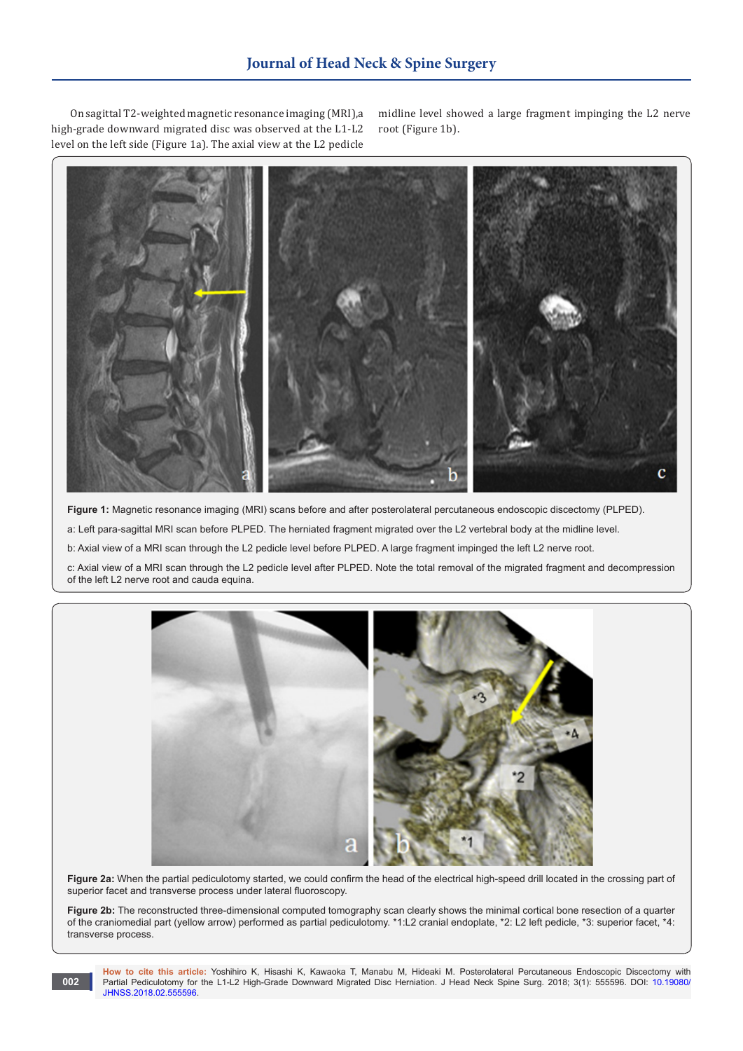On sagittal T2-weighted magnetic resonance imaging (MRI),a high-grade downward migrated disc was observed at the L1-L2 level on the left side (Figure 1a). The axial view at the L2 pedicle

midline level showed a large fragment impinging the L2 nerve root (Figure 1b).



**Figure 1:** Magnetic resonance imaging (MRI) scans before and after posterolateral percutaneous endoscopic discectomy (PLPED).

a: Left para-sagittal MRI scan before PLPED. The herniated fragment migrated over the L2 vertebral body at the midline level.

b: Axial view of a MRI scan through the L2 pedicle level before PLPED. A large fragment impinged the left L2 nerve root.

c: Axial view of a MRI scan through the L2 pedicle level after PLPED. Note the total removal of the migrated fragment and decompression of the left L2 nerve root and cauda equina.



**Figure 2a:** When the partial pediculotomy started, we could confirm the head of the electrical high-speed drill located in the crossing part of superior facet and transverse process under lateral fluoroscopy.

Figure 2b: The reconstructed three-dimensional computed tomography scan clearly shows the minimal cortical bone resection of a quarter of the craniomedial part (yellow arrow) performed as partial pediculotomy. \*1:L2 cranial endoplate, \*2: L2 left pedicle, \*3: superior facet, \*4: transverse process.

**How to cite this article:** Yoshihiro K, Hisashi K, Kawaoka T, Manabu M, Hideaki M. Posterolateral Percutaneous Endoscopic Discectomy with Partial Pediculotomy for the L1-L2 High-Grade Downward Migrated Disc Herniation. J Head Neck Spine Surg. 2018; 3(1): 555596. DOI: [10.19080/](http://dx.doi.org/10.19080/jhnss.2018.02.555596
) [JHNSS.2018.02.555596.](http://dx.doi.org/10.19080/jhnss.2018.02.555596
)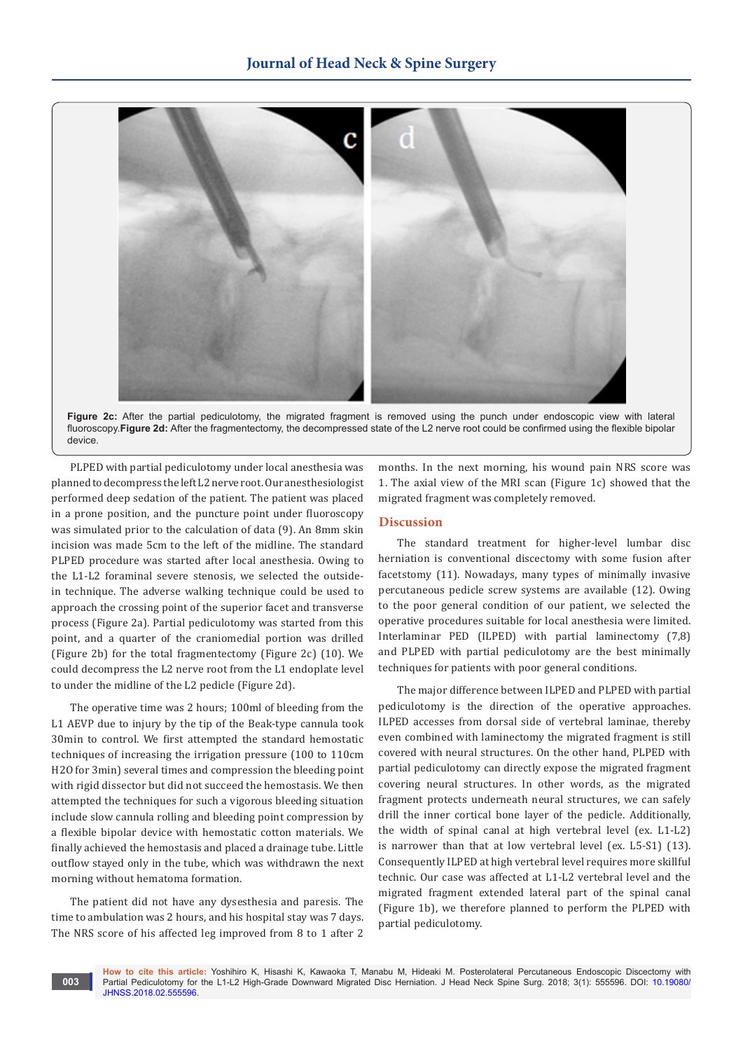

**Figure 2c:** After the partial pediculotomy, the migrated fragment is removed using the punch under endoscopic view with lateral fluoroscopy.**Figure 2d:** After the fragmentectomy, the decompressed state of the L2 nerve root could be confirmed using the flexible bipolar device

PLPED with partial pediculotomy under local anesthesia was planned to decompress the left L2 nerve root. Our anesthesiologist performed deep sedation of the patient. The patient was placed in a prone position, and the puncture point under fluoroscopy was simulated prior to the calculation of data (9). An 8mm skin incision was made 5cm to the left of the midline. The standard PLPED procedure was started after local anesthesia. Owing to the L1-L2 foraminal severe stenosis, we selected the outsidein technique. The adverse walking technique could be used to approach the crossing point of the superior facet and transverse process (Figure 2a). Partial pediculotomy was started from this point, and a quarter of the craniomedial portion was drilled (Figure 2b) for the total fragmentectomy (Figure 2c) (10). We could decompress the L2 nerve root from the L1 endoplate level to under the midline of the L2 pedicle (Figure 2d).

The operative time was 2 hours; 100ml of bleeding from the L1 AEVP due to injury by the tip of the Beak-type cannula took 30min to control. We first attempted the standard hemostatic techniques of increasing the irrigation pressure (100 to 110cm H2O for 3min) several times and compression the bleeding point with rigid dissector but did not succeed the hemostasis. We then attempted the techniques for such a vigorous bleeding situation include slow cannula rolling and bleeding point compression by a flexible bipolar device with hemostatic cotton materials. We finally achieved the hemostasis and placed a drainage tube. Little outflow stayed only in the tube, which was withdrawn the next morning without hematoma formation.

The patient did not have any dysesthesia and paresis. The time to ambulation was 2 hours, and his hospital stay was 7 days. The NRS score of his affected leg improved from 8 to 1 after 2

months. In the next morning, his wound pain NRS score was 1. The axial view of the MRI scan (Figure 1c) showed that the migrated fragment was completely removed.

### **Discussion**

The standard treatment for higher-level lumbar disc herniation is conventional discectomy with some fusion after facetstomy (11). Nowadays, many types of minimally invasive percutaneous pedicle screw systems are available (12). Owing to the poor general condition of our patient, we selected the operative procedures suitable for local anesthesia were limited. Interlaminar PED (ILPED) with partial laminectomy (7,8) and PLPED with partial pediculotomy are the best minimally techniques for patients with poor general conditions.

The major difference between ILPED and PLPED with partial pediculotomy is the direction of the operative approaches. ILPED accesses from dorsal side of vertebral laminae, thereby even combined with laminectomy the migrated fragment is still covered with neural structures. On the other hand, PLPED with partial pediculotomy can directly expose the migrated fragment covering neural structures. In other words, as the migrated fragment protects underneath neural structures, we can safely drill the inner cortical bone layer of the pedicle. Additionally, the width of spinal canal at high vertebral level (ex. L1-L2) is narrower than that at low vertebral level (ex. L5-S1) (13). Consequently ILPED at high vertebral level requires more skillful technic. Our case was affected at L1-L2 vertebral level and the migrated fragment extended lateral part of the spinal canal (Figure 1b), we therefore planned to perform the PLPED with partial pediculotomy.